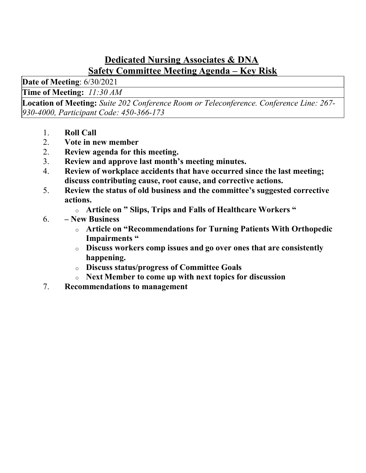#### Dedicated Nursing Associates & DNA Safety Committee Meeting Agenda – Key Risk

Date of Meeting: 6/30/2021

Time of Meeting:  $11:30 AM$ 

Location of Meeting: Suite 202 Conference Room or Teleconference. Conference Line: 267- 930-4000, Participant Code: 450-366-173

- 1. Roll Call
- 2. Vote in new member
- 2. Review agenda for this meeting.
- 3. Review and approve last month's meeting minutes.
- 4. Review of workplace accidents that have occurred since the last meeting; discuss contributing cause, root cause, and corrective actions.
- 5. Review the status of old business and the committee's suggested corrective actions.
	- o Article on " Slips, Trips and Falls of Healthcare Workers "
- 6. New Business
	- o Article on "Recommendations for Turning Patients With Orthopedic Impairments "
	- o Discuss workers comp issues and go over ones that are consistently happening.
	- o Discuss status/progress of Committee Goals
	- o Next Member to come up with next topics for discussion
- 7. Recommendations to management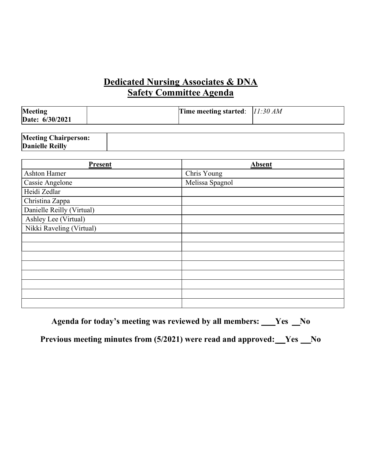# Dedicated Nursing Associates & DNA  Safety Committee Agenda

| Meeting         | Time meeting started: $ 11:30 \text{ AM} $ |  |
|-----------------|--------------------------------------------|--|
| Date: 6/30/2021 |                                            |  |

| <b>Meeting Chairperson:</b> |  |
|-----------------------------|--|
| <b>Danielle Reilly</b>      |  |

| Present                   | Absent          |
|---------------------------|-----------------|
| <b>Ashton Hamer</b>       | Chris Young     |
| Cassie Angelone           | Melissa Spagnol |
| Heidi Zedlar              |                 |
| Christina Zappa           |                 |
| Danielle Reilly (Virtual) |                 |
| Ashley Lee (Virtual)      |                 |
| Nikki Raveling (Virtual)  |                 |
|                           |                 |
|                           |                 |
|                           |                 |
|                           |                 |
|                           |                 |
|                           |                 |
|                           |                 |
|                           |                 |

| Agenda for today's meeting was reviewed by all members: |  | Yes No |  |
|---------------------------------------------------------|--|--------|--|
|                                                         |  |        |  |

Previous meeting minutes from  $(5/2021)$  were read and approved:  $Yes$  No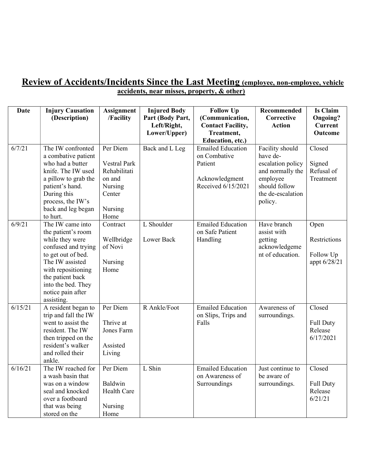#### Review of Accidents/Incidents Since the Last Meeting (employee, non-employee, vehicle accidents, near misses, property, & other)

| <b>Date</b> | <b>Injury Causation</b><br>(Description)                                                                                                                                                                                     | <b>Assignment</b><br>/Facility                                 | <b>Injured Body</b><br>Part (Body Part, | <b>Follow Up</b><br>(Communication,                                     | Recommended<br>Corrective<br><b>Action</b>                                    | <b>Is Claim</b><br><b>Ongoing?</b>                 |
|-------------|------------------------------------------------------------------------------------------------------------------------------------------------------------------------------------------------------------------------------|----------------------------------------------------------------|-----------------------------------------|-------------------------------------------------------------------------|-------------------------------------------------------------------------------|----------------------------------------------------|
|             |                                                                                                                                                                                                                              |                                                                | Left/Right,<br>Lower/Upper)             | <b>Contact Facility,</b><br>Treatment,                                  |                                                                               | <b>Current</b><br>Outcome                          |
| 6/7/21      | The IW confronted<br>a combative patient<br>who had a butter                                                                                                                                                                 | Per Diem<br><b>Vestral Park</b>                                | Back and L Leg                          | Education, etc.)<br><b>Emailed Education</b><br>on Combative<br>Patient | Facility should<br>have de-<br>escalation policy                              | Closed<br>Signed                                   |
|             | knife. The IW used<br>a pillow to grab the<br>patient's hand.<br>During this<br>process, the IW's<br>back and leg began<br>to hurt.                                                                                          | Rehabilitati<br>on and<br>Nursing<br>Center<br>Nursing<br>Home |                                         | Acknowledgment<br>Received 6/15/2021                                    | and normally the<br>employee<br>should follow<br>the de-escalation<br>policy. | Refusal of<br>Treatment                            |
| 6/9/21      | The IW came into<br>the patient's room<br>while they were<br>confused and trying<br>to get out of bed.<br>The IW assisted<br>with repositioning<br>the patient back<br>into the bed. They<br>notice pain after<br>assisting. | Contract<br>Wellbridge<br>of Novi<br>Nursing<br>Home           | L Shoulder<br>Lower Back                | <b>Emailed Education</b><br>on Safe Patient<br>Handling                 | Have branch<br>assist with<br>getting<br>acknowledgeme<br>nt of education.    | Open<br>Restrictions<br>Follow Up<br>appt 6/28/21  |
| 6/15/21     | A resident began to<br>trip and fall the IW<br>went to assist the<br>resident. The IW<br>then tripped on the<br>resident's walker<br>and rolled their<br>ankle.                                                              | Per Diem<br>Thrive at<br>Jones Farm<br>Assisted<br>Living      | R Ankle/Foot                            | <b>Emailed Education</b><br>on Slips, Trips and<br>Falls                | Awareness of<br>surroundings.                                                 | Closed<br><b>Full Duty</b><br>Release<br>6/17/2021 |
| 6/16/21     | The IW reached for<br>a wash basin that<br>was on a window<br>seal and knocked<br>over a footboard<br>that was being<br>stored on the                                                                                        | Per Diem<br>Baldwin<br><b>Health Care</b><br>Nursing<br>Home   | L Shin                                  | <b>Emailed Education</b><br>on Awareness of<br>Surroundings             | Just continue to<br>be aware of<br>surroundings.                              | Closed<br>Full Duty<br>Release<br>6/21/21          |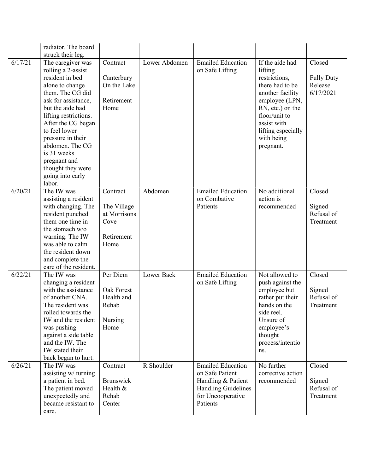|         | radiator. The board                                                                                                                                                                                                                                                                                                                    |                                                                         |               |                                                                                                                                  |                                                                                                                                                                                                           |                                                     |
|---------|----------------------------------------------------------------------------------------------------------------------------------------------------------------------------------------------------------------------------------------------------------------------------------------------------------------------------------------|-------------------------------------------------------------------------|---------------|----------------------------------------------------------------------------------------------------------------------------------|-----------------------------------------------------------------------------------------------------------------------------------------------------------------------------------------------------------|-----------------------------------------------------|
|         | struck their leg.                                                                                                                                                                                                                                                                                                                      |                                                                         |               |                                                                                                                                  |                                                                                                                                                                                                           |                                                     |
| 6/17/21 | The caregiver was<br>rolling a 2-assist<br>resident in bed<br>alone to change<br>them. The CG did<br>ask for assistance,<br>but the aide had<br>lifting restrictions.<br>After the CG began<br>to feel lower<br>pressure in their<br>abdomen. The CG<br>is 31 weeks<br>pregnant and<br>thought they were<br>going into early<br>labor. | Contract<br>Canterbury<br>On the Lake<br>Retirement<br>Home             | Lower Abdomen | <b>Emailed Education</b><br>on Safe Lifting                                                                                      | If the aide had<br>lifting<br>restrictions,<br>there had to be<br>another facility<br>employee (LPN,<br>RN, etc.) on the<br>floor/unit to<br>assist with<br>lifting especially<br>with being<br>pregnant. | Closed<br><b>Fully Duty</b><br>Release<br>6/17/2021 |
| 6/20/21 | The IW was<br>assisting a resident<br>with changing. The<br>resident punched<br>them one time in<br>the stomach w/o<br>warning. The IW<br>was able to calm<br>the resident down<br>and complete the<br>care of the resident.                                                                                                           | Contract<br>The Village<br>at Morrisons<br>Cove<br>Retirement<br>Home   | Abdomen       | <b>Emailed Education</b><br>on Combative<br>Patients                                                                             | No additional<br>action is<br>recommended                                                                                                                                                                 | Closed<br>Signed<br>Refusal of<br>Treatment         |
| 6/22/21 | The IW was<br>changing a resident<br>with the assistance<br>of another CNA.<br>The resident was<br>rolled towards the<br>IW and the resident<br>was pushing<br>against a side table<br>and the IW. The<br>IW stated their<br>back began to hurt.                                                                                       | Per Diem<br><b>Oak Forest</b><br>Health and<br>Rehab<br>Nursing<br>Home | Lower Back    | <b>Emailed Education</b><br>on Safe Lifting                                                                                      | Not allowed to<br>push against the<br>employee but<br>rather put their<br>hands on the<br>side reel.<br>Unsure of<br>employee's<br>thought<br>process/intentio<br>ns.                                     | Closed<br>Signed<br>Refusal of<br>Treatment         |
| 6/26/21 | The IW was<br>assisting w/ turning<br>a patient in bed.<br>The patient moved<br>unexpectedly and<br>became resistant to<br>care.                                                                                                                                                                                                       | Contract<br>Brunswick<br>Health &<br>Rehab<br>Center                    | R Shoulder    | <b>Emailed Education</b><br>on Safe Patient<br>Handling & Patient<br><b>Handling Guidelines</b><br>for Uncooperative<br>Patients | No further<br>corrective action<br>recommended                                                                                                                                                            | Closed<br>Signed<br>Refusal of<br>Treatment         |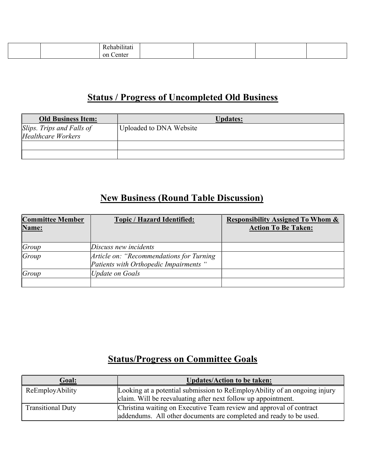|  | $\sim$ $\sim$                             |  |  |
|--|-------------------------------------------|--|--|
|  | $\alpha$ n<br>$\sim$ 40 $^{\circ}$<br>--- |  |  |

# Status / Progress of Uncompleted Old Business

| <b>Old Business Item:</b>                              | <b>Updates:</b>         |
|--------------------------------------------------------|-------------------------|
| Slips. Trips and Falls of<br><b>Healthcare Workers</b> | Uploaded to DNA Website |
|                                                        |                         |
|                                                        |                         |

# New Business (Round Table Discussion)

| <b>Committee Member</b><br>Name: | <b>Topic / Hazard Identified:</b>                                                   | <b>Responsibility Assigned To Whom &amp;</b><br><b>Action To Be Taken:</b> |
|----------------------------------|-------------------------------------------------------------------------------------|----------------------------------------------------------------------------|
| Group                            | Discuss new incidents                                                               |                                                                            |
| Group                            | Article on: "Recommendations for Turning"<br>Patients with Orthopedic Impairments " |                                                                            |
| Group                            | <b>Update on Goals</b>                                                              |                                                                            |
|                                  |                                                                                     |                                                                            |

# Status/Progress on Committee Goals

| Goal:                    | <b>Updates/Action to be taken:</b>                                        |
|--------------------------|---------------------------------------------------------------------------|
| ReEmployAbility          | Looking at a potential submission to ReEmployAbility of an ongoing injury |
|                          | claim. Will be reevaluating after next follow up appointment.             |
| <b>Transitional Duty</b> | Christina waiting on Executive Team review and approval of contract       |
|                          | addendums. All other documents are completed and ready to be used.        |